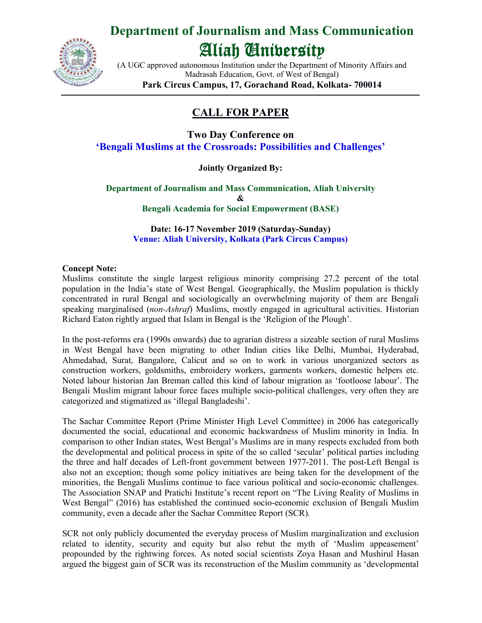

## **Department of Journalism and Mass Communication**

# Aliah University

(A UGC approved autonomous Institution under the Department of Minority Affairs and Madrasah Education, Govt. of West of Bengal) **Park Circus Campus, 17, Gorachand Road, Kolkata- 700014**

### **CALL FOR PAPER**

**Two Day Conference on 'Bengali Muslims at the Crossroads: Possibilities and Challenges'**

#### **Jointly Organized By:**

**Department of Journalism and Mass Communication, Aliah University & Bengali Academia for Social Empowerment (BASE)**

**Date: 16-17 November 2019 (Saturday-Sunday) Venue: Aliah University, Kolkata (Park Circus Campus)**

#### **Concept Note:**

Muslims constitute the single largest religious minority comprising 27.2 percent of the total population in the India's state of West Bengal. Geographically, the Muslim population is thickly concentrated in rural Bengal and sociologically an overwhelming majority of them are Bengali speaking marginalised (*non-Ashraf*) Muslims, mostly engaged in agricultural activities. Historian Richard Eaton rightly argued that Islam in Bengal is the 'Religion of the Plough'.

In the post-reforms era (1990s onwards) due to agrarian distress a sizeable section of rural Muslims in West Bengal have been migrating to other Indian cities like Delhi, Mumbai, Hyderabad, Ahmedabad, Surat, Bangalore, Calicut and so on to work in various unorganized sectors as construction workers, goldsmiths, embroidery workers, garments workers, domestic helpers etc. Noted labour historian Jan Breman called this kind of labour migration as 'footloose labour'. The Bengali Muslim migrant labour force faces multiple socio-political challenges, very often they are categorized and stigmatized as 'illegal Bangladeshi'.

The Sachar Committee Report (Prime Minister High Level Committee) in 2006 has categorically documented the social, educational and economic backwardness of Muslim minority in India. In comparison to other Indian states, West Bengal's Muslims are in many respects excluded from both the developmental and political process in spite of the so called 'secular' political parties including the three and half decades of Left-front government between 1977-2011. The post-Left Bengal is also not an exception; though some policy initiatives are being taken for the development of the minorities, the Bengali Muslims continue to face various political and socio-economic challenges. The Association SNAP and Pratichi Institute's recent report on "The Living Reality of Muslims in West Bengal" (2016) has established the continued socio-economic exclusion of Bengali Muslim community, even a decade after the Sachar Committee Report (SCR).

SCR not only publicly documented the everyday process of Muslim marginalization and exclusion related to identity, security and equity but also rebut the myth of 'Muslim appeasement' propounded by the rightwing forces. As noted social scientists Zoya Hasan and Mushirul Hasan argued the biggest gain of SCR was its reconstruction of the Muslim community as 'developmental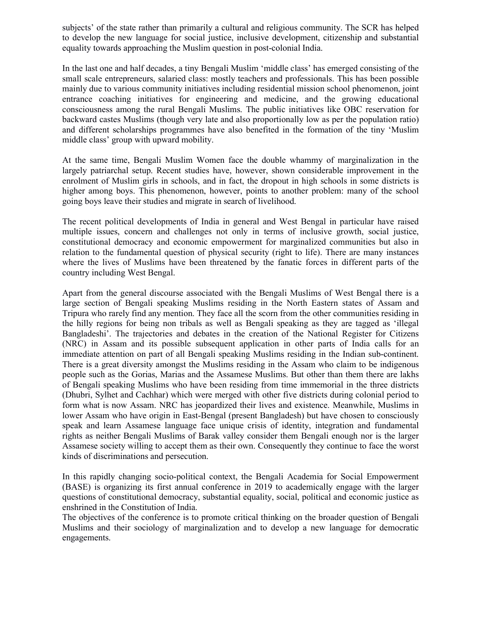subjects' of the state rather than primarily a cultural and religious community. The SCR has helped to develop the new language for social justice, inclusive development, citizenship and substantial equality towards approaching the Muslim question in post-colonial India.

In the last one and half decades, a tiny Bengali Muslim 'middle class' has emerged consisting of the small scale entrepreneurs, salaried class: mostly teachers and professionals. This has been possible mainly due to various community initiatives including residential mission school phenomenon, joint entrance coaching initiatives for engineering and medicine, and the growing educational consciousness among the rural Bengali Muslims. The public initiatives like OBC reservation for backward castes Muslims (though very late and also proportionally low as per the population ratio) and different scholarships programmes have also benefited in the formation of the tiny 'Muslim middle class' group with upward mobility.

At the same time, Bengali Muslim Women face the double whammy of marginalization in the largely patriarchal setup. Recent studies have, however, shown considerable improvement in the enrolment of Muslim girls in schools, and in fact, the dropout in high schools in some districts is higher among boys. This phenomenon, however, points to another problem: many of the school going boys leave their studies and migrate in search of livelihood.

The recent political developments of India in general and West Bengal in particular have raised multiple issues, concern and challenges not only in terms of inclusive growth, social justice, constitutional democracy and economic empowerment for marginalized communities but also in relation to the fundamental question of physical security (right to life). There are many instances where the lives of Muslims have been threatened by the fanatic forces in different parts of the country including West Bengal.

Apart from the general discourse associated with the Bengali Muslims of West Bengal there is a large section of Bengali speaking Muslims residing in the North Eastern states of Assam and Tripura who rarely find any mention. They face all the scorn from the other communities residing in the hilly regions for being non tribals as well as Bengali speaking as they are tagged as 'illegal Bangladeshi'. The trajectories and debates in the creation of the National Register for Citizens (NRC) in Assam and its possible subsequent application in other parts of India calls for an immediate attention on part of all Bengali speaking Muslims residing in the Indian sub-continent. There is a great diversity amongst the Muslims residing in the Assam who claim to be indigenous people such as the Gorias, Marias and the Assamese Muslims. But other than them there are lakhs of Bengali speaking Muslims who have been residing from time immemorial in the three districts (Dhubri, Sylhet and Cachhar) which were merged with other five districts during colonial period to form what is now Assam. NRC has jeopardized their lives and existence. Meanwhile, Muslims in lower Assam who have origin in East-Bengal (present Bangladesh) but have chosen to consciously speak and learn Assamese language face unique crisis of identity, integration and fundamental rights as neither Bengali Muslims of Barak valley consider them Bengali enough nor is the larger Assamese society willing to accept them as their own. Consequently they continue to face the worst kinds of discriminations and persecution.

In this rapidly changing socio-political context, the Bengali Academia for Social Empowerment (BASE) is organizing its first annual conference in 2019 to academically engage with the larger questions of constitutional democracy, substantial equality, social, political and economic justice as enshrined in the Constitution of India.

The objectives of the conference is to promote critical thinking on the broader question of Bengali Muslims and their sociology of marginalization and to develop a new language for democratic engagements.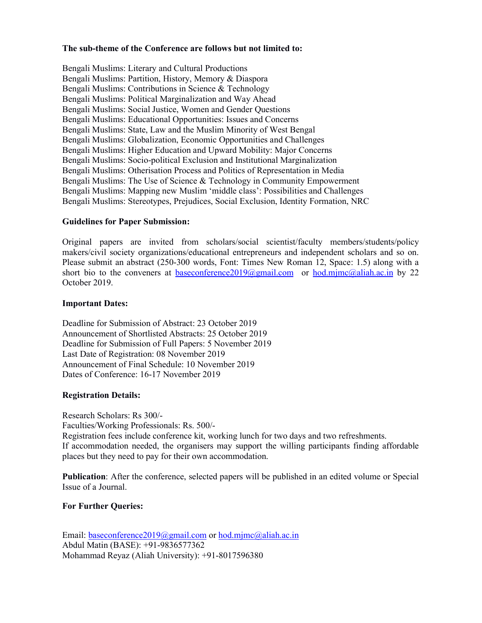#### **The sub-theme of the Conference are follows but not limited to:**

Bengali Muslims: Literary and Cultural Productions Bengali Muslims: Partition, History, Memory & Diaspora Bengali Muslims: Contributions in Science & Technology Bengali Muslims: Political Marginalization and Way Ahead Bengali Muslims: Social Justice, Women and Gender Questions Bengali Muslims: Educational Opportunities: Issues and Concerns Bengali Muslims: State, Law and the Muslim Minority of West Bengal Bengali Muslims: Globalization, Economic Opportunities and Challenges Bengali Muslims: Higher Education and Upward Mobility: Major Concerns Bengali Muslims: Socio-political Exclusion and Institutional Marginalization Bengali Muslims: Otherisation Process and Politics of Representation in Media Bengali Muslims: The Use of Science & Technology in Community Empowerment Bengali Muslims: Mapping new Muslim 'middle class': Possibilities and Challenges Bengali Muslims: Stereotypes, Prejudices, Social Exclusion, Identity Formation, NRC

#### **Guidelines for Paper Submission:**

Original papers are invited from scholars/social scientist/faculty members/students/policy makers/civil society organizations/educational entrepreneurs and independent scholars and so on. Please submit an abstract (250-300 words, Font: Times New Roman 12, Space: 1.5) along with a short bio to the conveners at <u>baseconference2019@gmail.com</u> or  $\underline{hod.mjmc}$ @aliah.ac.in by 22 October 2019.

#### **Important Dates:**

Deadline for Submission of Abstract: 23 October 2019 Announcement of Shortlisted Abstracts: 25 October 2019 Deadline for Submission of Full Papers: 5 November 2019 Last Date of Registration: 08 November 2019 Announcement of Final Schedule: 10 November 2019 Dates of Conference: 16-17 November 2019

#### **Registration Details:**

Research Scholars: Rs 300/- Faculties/Working Professionals: Rs. 500/- Registration fees include conference kit, working lunch for two days and two refreshments. If accommodation needed, the organisers may support the willing participants finding affordable places but they need to pay for their own accommodation.

**Publication**: After the conference, selected papers will be published in an edited volume or Special Issue of a Journal.

#### **For Further Queries:**

Email: baseconference2019@gmail.com or hod.mjmc@aliah.ac.in Abdul Matin (BASE): +91-9836577362 Mohammad Reyaz (Aliah University): +91-8017596380